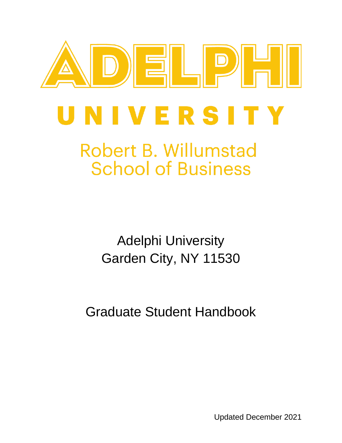

# **Robert B. Willumstad School of Business**

Adelphi University Garden City, NY 11530

Graduate Student Handbook

Updated December 2021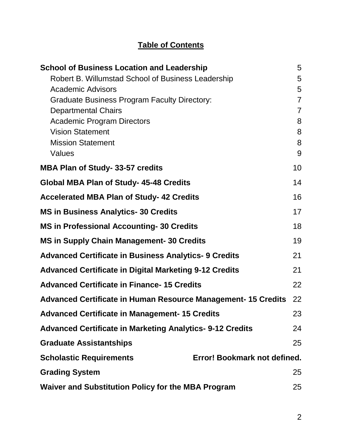### **Table of Contents**

| <b>School of Business Location and Leadership</b>                   | 5              |
|---------------------------------------------------------------------|----------------|
| Robert B. Willumstad School of Business Leadership                  | 5              |
| <b>Academic Advisors</b>                                            | 5              |
| <b>Graduate Business Program Faculty Directory:</b>                 | $\overline{7}$ |
| <b>Departmental Chairs</b>                                          | $\overline{7}$ |
| <b>Academic Program Directors</b>                                   | 8              |
| <b>Vision Statement</b>                                             | 8              |
| <b>Mission Statement</b>                                            | 8              |
| Values                                                              | 9              |
| <b>MBA Plan of Study-33-57 credits</b>                              | 10             |
| <b>Global MBA Plan of Study- 45-48 Credits</b>                      | 14             |
| <b>Accelerated MBA Plan of Study-42 Credits</b>                     | 16             |
| <b>MS in Business Analytics-30 Credits</b>                          | 17             |
| <b>MS in Professional Accounting-30 Credits</b>                     | 18             |
| <b>MS in Supply Chain Management- 30 Credits</b>                    | 19             |
| <b>Advanced Certificate in Business Analytics- 9 Credits</b>        | 21             |
| <b>Advanced Certificate in Digital Marketing 9-12 Credits</b>       | 21             |
| <b>Advanced Certificate in Finance-15 Credits</b>                   | 22             |
| <b>Advanced Certificate in Human Resource Management-15 Credits</b> | 22             |
| <b>Advanced Certificate in Management- 15 Credits</b>               | 23             |
| <b>Advanced Certificate in Marketing Analytics- 9-12 Credits</b>    | 24             |
| <b>Graduate Assistantships</b>                                      | 25             |
| <b>Scholastic Requirements</b><br>Error! Bookmark not defined.      |                |
| <b>Grading System</b>                                               | 25             |
| <b>Waiver and Substitution Policy for the MBA Program</b>           | 25             |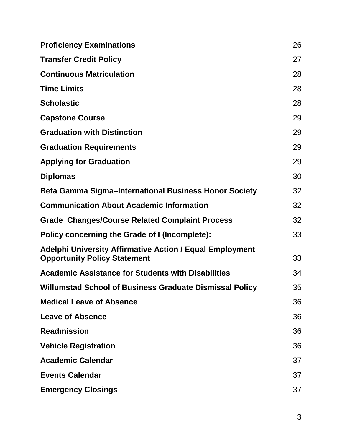| <b>Proficiency Examinations</b>                                                                        | 26 |
|--------------------------------------------------------------------------------------------------------|----|
| <b>Transfer Credit Policy</b>                                                                          | 27 |
| <b>Continuous Matriculation</b>                                                                        | 28 |
| <b>Time Limits</b>                                                                                     | 28 |
| <b>Scholastic</b>                                                                                      | 28 |
| <b>Capstone Course</b>                                                                                 | 29 |
| <b>Graduation with Distinction</b>                                                                     | 29 |
| <b>Graduation Requirements</b>                                                                         | 29 |
| <b>Applying for Graduation</b>                                                                         | 29 |
| <b>Diplomas</b>                                                                                        | 30 |
| <b>Beta Gamma Sigma-International Business Honor Society</b>                                           | 32 |
| <b>Communication About Academic Information</b>                                                        | 32 |
| <b>Grade Changes/Course Related Complaint Process</b>                                                  | 32 |
| Policy concerning the Grade of I (Incomplete):                                                         | 33 |
| <b>Adelphi University Affirmative Action / Equal Employment</b><br><b>Opportunity Policy Statement</b> | 33 |
| <b>Academic Assistance for Students with Disabilities</b>                                              | 34 |
| <b>Willumstad School of Business Graduate Dismissal Policy</b>                                         | 35 |
| <b>Medical Leave of Absence</b>                                                                        | 36 |
| <b>Leave of Absence</b>                                                                                | 36 |
| <b>Readmission</b>                                                                                     | 36 |
| <b>Vehicle Registration</b>                                                                            | 36 |
| <b>Academic Calendar</b>                                                                               | 37 |
| <b>Events Calendar</b>                                                                                 | 37 |
| <b>Emergency Closings</b>                                                                              | 37 |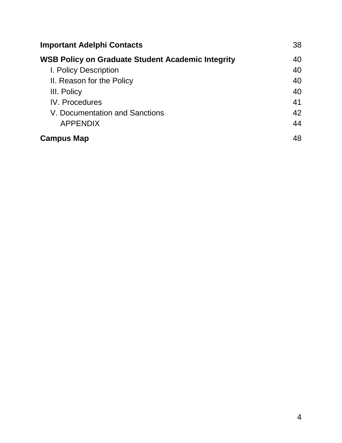| <b>Important Adelphi Contacts</b>                        | 38 |
|----------------------------------------------------------|----|
| <b>WSB Policy on Graduate Student Academic Integrity</b> | 40 |
| I. Policy Description                                    | 40 |
| II. Reason for the Policy                                | 40 |
| III. Policy                                              | 40 |
| <b>IV.</b> Procedures                                    | 41 |
| V. Documentation and Sanctions                           | 42 |
| <b>APPENDIX</b>                                          | 44 |
| <b>Campus Map</b>                                        | 48 |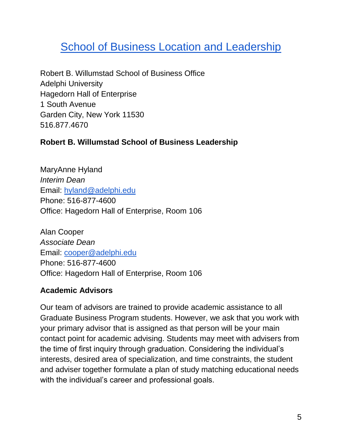### <span id="page-4-0"></span>**School of Business Location and Leadership**

Robert B. Willumstad School of Business Office Adelphi University Hagedorn Hall of Enterprise 1 South Avenue Garden City, New York 11530 516.877.4670

#### <span id="page-4-1"></span>**Robert B. Willumstad School of Business Leadership**

MaryAnne Hyland *Interim Dean* Email: [hyland@adelphi.edu](mailto:hyland@adelphi.edu) Phone: 516-877-4600 Office: Hagedorn Hall of Enterprise, Room 106

Alan Cooper *Associate Dean* Email: [cooper@adelphi.edu](mailto:cooper@adelphi.edu) Phone: 516-877-4600 Office: Hagedorn Hall of Enterprise, Room 106

#### <span id="page-4-2"></span>**Academic Advisors**

Our team of advisors are trained to provide academic assistance to all Graduate Business Program students. However, we ask that you work with your primary advisor that is assigned as that person will be your main contact point for academic advising. Students may meet with advisers from the time of first inquiry through graduation. Considering the individual's interests, desired area of specialization, and time constraints, the student and adviser together formulate a plan of study matching educational needs with the individual's career and professional goals.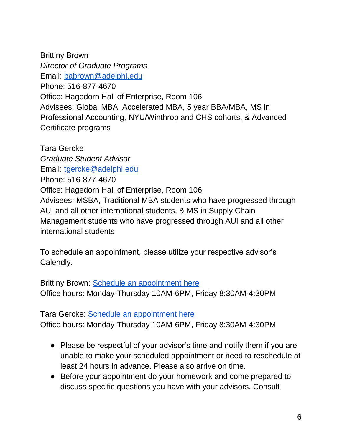Britt'ny Brown *Director of Graduate Programs* Email: [babrown@adelphi.edu](mailto:babrown@adelphi.edu) Phone: 516-877-4670 Office: Hagedorn Hall of Enterprise, Room 106 Advisees: Global MBA, Accelerated MBA, 5 year BBA/MBA, MS in Professional Accounting, NYU/Winthrop and CHS cohorts, & Advanced Certificate programs

Tara Gercke *Graduate Student Advisor* Email: [tgercke@adelphi.edu](mailto:tgercke@adelphi.edu) Phone: 516-877-4670 Office: Hagedorn Hall of Enterprise, Room 106 Advisees: MSBA, Traditional MBA students who have progressed through AUI and all other international students, & MS in Supply Chain Management students who have progressed through AUI and all other international students

To schedule an appointment, please utilize your respective advisor's Calendly.

Britt'ny Brown: [Schedule an appointment here](https://calendly.com/babrown-2/30min) Office hours: Monday-Thursday 10AM-6PM, Friday 8:30AM-4:30PM

Tara Gercke: [Schedule an appointment here](https://calendly.com/tgercke/advisingappointment) Office hours: Monday-Thursday 10AM-6PM, Friday 8:30AM-4:30PM

- Please be respectful of your advisor's time and notify them if you are unable to make your scheduled appointment or need to reschedule at least 24 hours in advance. Please also arrive on time.
- Before your appointment do your homework and come prepared to discuss specific questions you have with your advisors. Consult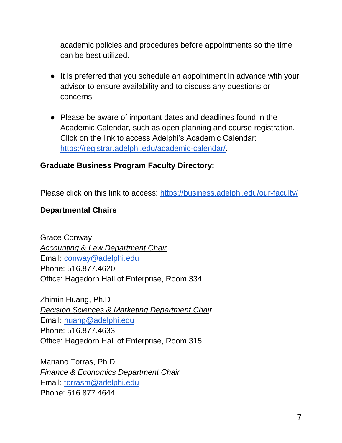academic policies and procedures before appointments so the time can be best utilized.

- It is preferred that you schedule an appointment in advance with your advisor to ensure availability and to discuss any questions or concerns.
- Please be aware of important dates and deadlines found in the Academic Calendar, such as open planning and course registration. Click on the link to access Adelphi's Academic Calendar: [https://registrar.adelphi.edu/academic-calendar/.](https://registrar.adelphi.edu/academic-calendar/)

#### <span id="page-6-0"></span>**Graduate Business Program Faculty Directory:**

Please click on this link to access:<https://business.adelphi.edu/our-faculty/>

#### <span id="page-6-1"></span>**Departmental Chairs**

Grace Conway *Accounting & Law Department Chair* Email: [conway@adelphi.edu](mailto:conway@adelphi.edu) Phone: 516.877.4620 Office: Hagedorn Hall of Enterprise, Room 334

Zhimin Huang, Ph.D *Decision Sciences & Marketing Department Chair* Email: [huang@adelphi.edu](mailto:huang@adelphi.edu) Phone: 516.877.4633 Office: Hagedorn Hall of Enterprise, Room 315

Mariano Torras, Ph.D *Finance & Economics Department Chair* Email: [torrasm@adelphi.edu](mailto:torrasm@adelphi.edu) Phone: 516.877.4644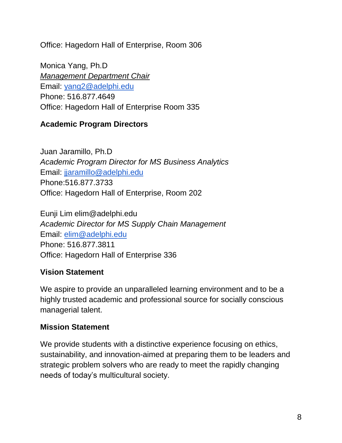Office: Hagedorn Hall of Enterprise, Room 306

Monica Yang, Ph.D *Management Department Chair*  Email: [yang2@adelphi.edu](mailto:yang2@adelphi.edu) Phone: 516.877.4649 Office: Hagedorn Hall of Enterprise Room 335

#### <span id="page-7-0"></span>**Academic Program Directors**

Juan Jaramillo, Ph.D *Academic Program Director for MS Business Analytics*  Email: [jjaramillo@adelphi.edu](mailto:jjaramillo@adelphi.edu) Phone:516.877.3733 Office: Hagedorn Hall of Enterprise, Room 202

Eunji Lim elim@adelphi.edu *Academic Director for MS Supply Chain Management*  Email: [elim@adelphi.edu](mailto:elim@adelphi.edu) Phone: 516.877.3811 Office: Hagedorn Hall of Enterprise 336

#### <span id="page-7-1"></span>**Vision Statement**

We aspire to provide an unparalleled learning environment and to be a highly trusted academic and professional source for socially conscious managerial talent.

#### <span id="page-7-2"></span>**Mission Statement**

We provide students with a distinctive experience focusing on ethics, sustainability, and innovation-aimed at preparing them to be leaders and strategic problem solvers who are ready to meet the rapidly changing needs of today's multicultural society.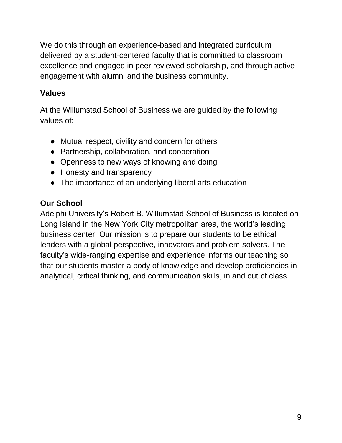We do this through an experience-based and integrated curriculum delivered by a student-centered faculty that is committed to classroom excellence and engaged in peer reviewed scholarship, and through active engagement with alumni and the business community.

### <span id="page-8-0"></span>**Values**

At the Willumstad School of Business we are guided by the following values of:

- Mutual respect, civility and concern for others
- Partnership, collaboration, and cooperation
- Openness to new ways of knowing and doing
- Honesty and transparency
- The importance of an underlying liberal arts education

### **Our School**

Adelphi University's Robert B. Willumstad School of Business is located on Long Island in the New York City metropolitan area, the world's leading business center. Our mission is to prepare our students to be ethical leaders with a global perspective, innovators and problem-solvers. The faculty's wide-ranging expertise and experience informs our teaching so that our students master a body of knowledge and develop proficiencies in analytical, critical thinking, and communication skills, in and out of class.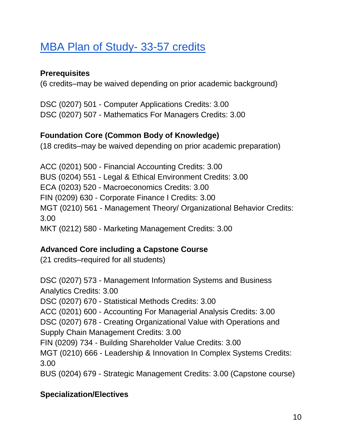## <span id="page-9-0"></span>[MBA Plan of Study-](http://catalog.adelphi.edu/preview_program.php?catoid=25&poid=12123) 33-57 credits

#### **Prerequisites**

(6 credits–may be waived depending on prior academic background)

DSC (0207) 501 - Computer Applications Credits: 3.00 DSC (0207) 507 - Mathematics For Managers Credits: 3.00

#### **Foundation Core (Common Body of Knowledge)**

(18 credits–may be waived depending on prior academic preparation)

ACC (0201) 500 - Financial Accounting Credits: 3.00 BUS (0204) 551 - Legal & Ethical Environment Credits: 3.00 ECA (0203) 520 - Macroeconomics Credits: 3.00 FIN (0209) 630 - Corporate Finance I Credits: 3.00 MGT (0210) 561 - Management Theory/ Organizational Behavior Credits: 3.00 MKT (0212) 580 - Marketing Management Credits: 3.00

### **Advanced Core including a Capstone Course**

(21 credits–required for all students)

DSC (0207) 573 - Management Information Systems and Business Analytics Credits: 3.00 DSC (0207) 670 - Statistical Methods Credits: 3.00 ACC (0201) 600 - Accounting For Managerial Analysis Credits: 3.00 DSC (0207) 678 - Creating Organizational Value with Operations and Supply Chain Management Credits: 3.00 FIN (0209) 734 - Building Shareholder Value Credits: 3.00 MGT (0210) 666 - Leadership & Innovation In Complex Systems Credits: 3.00 BUS (0204) 679 - Strategic Management Credits: 3.00 (Capstone course)

### **Specialization/Electives**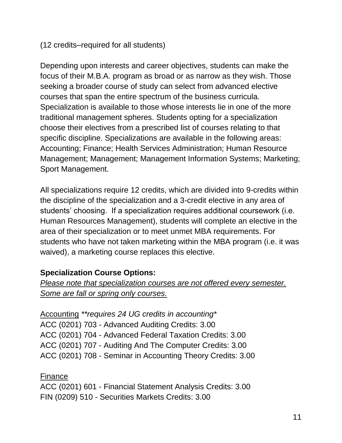#### (12 credits–required for all students)

Depending upon interests and career objectives, students can make the focus of their M.B.A. program as broad or as narrow as they wish. Those seeking a broader course of study can select from advanced elective courses that span the entire spectrum of the business curricula. Specialization is available to those whose interests lie in one of the more traditional management spheres. Students opting for a specialization choose their electives from a prescribed list of courses relating to that specific discipline. Specializations are available in the following areas: Accounting; Finance; Health Services Administration; Human Resource Management; Management; Management Information Systems; Marketing; Sport Management.

All specializations require 12 credits, which are divided into 9-credits within the discipline of the specialization and a 3-credit elective in any area of students' choosing. If a specialization requires additional coursework (i.e. Human Resources Management), students will complete an elective in the area of their specialization or to meet unmet MBA requirements. For students who have not taken marketing within the MBA program (i.e. it was waived), a marketing course replaces this elective.

#### **Specialization Course Options:**

*Please note that specialization courses are not offered every semester. Some are fall or spring only courses.*

Accounting *\*\*requires 24 UG credits in accounting\** ACC (0201) 703 - Advanced Auditing Credits: 3.00 ACC (0201) 704 - Advanced Federal Taxation Credits: 3.00 ACC (0201) 707 - Auditing And The Computer Credits: 3.00 ACC (0201) 708 - Seminar in Accounting Theory Credits: 3.00

Finance ACC (0201) 601 - Financial Statement Analysis Credits: 3.00 FIN (0209) 510 - Securities Markets Credits: 3.00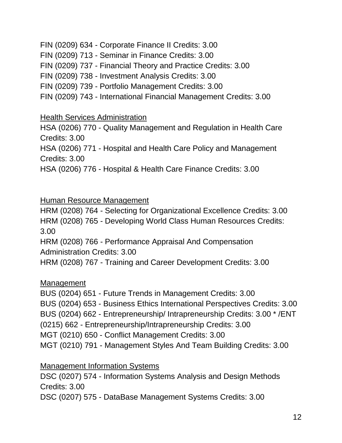FIN (0209) 634 - Corporate Finance II Credits: 3.00 FIN (0209) 713 - Seminar in Finance Credits: 3.00 FIN (0209) 737 - Financial Theory and Practice Credits: 3.00 FIN (0209) 738 - Investment Analysis Credits: 3.00 FIN (0209) 739 - Portfolio Management Credits: 3.00 FIN (0209) 743 - International Financial Management Credits: 3.00

#### Health Services Administration

HSA (0206) 770 - Quality Management and Regulation in Health Care Credits: 3.00

HSA (0206) 771 - Hospital and Health Care Policy and Management Credits: 3.00

HSA (0206) 776 - Hospital & Health Care Finance Credits: 3.00

#### Human Resource Management

HRM (0208) 764 - Selecting for Organizational Excellence Credits: 3.00 HRM (0208) 765 - Developing World Class Human Resources Credits: 3.00 HRM (0208) 766 - Performance Appraisal And Compensation

Administration Credits: 3.00

HRM (0208) 767 - Training and Career Development Credits: 3.00

#### Management

BUS (0204) 651 - Future Trends in Management Credits: 3.00

BUS (0204) 653 - Business Ethics International Perspectives Credits: 3.00

BUS (0204) 662 - Entrepreneurship/ Intrapreneurship Credits: 3.00 \* /ENT

(0215) 662 - Entrepreneurship/Intrapreneurship Credits: 3.00

MGT (0210) 650 - Conflict Management Credits: 3.00

MGT (0210) 791 - Management Styles And Team Building Credits: 3.00

Management Information Systems

DSC (0207) 574 - Information Systems Analysis and Design Methods Credits: 3.00

DSC (0207) 575 - DataBase Management Systems Credits: 3.00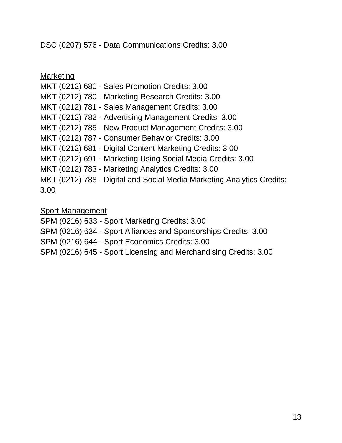DSC (0207) 576 - Data Communications Credits: 3.00

Marketing MKT (0212) 680 - Sales Promotion Credits: 3.00 MKT (0212) 780 - Marketing Research Credits: 3.00 MKT (0212) 781 - Sales Management Credits: 3.00 MKT (0212) 782 - Advertising Management Credits: 3.00 MKT (0212) 785 - New Product Management Credits: 3.00 MKT (0212) 787 - Consumer Behavior Credits: 3.00 MKT (0212) 681 - Digital Content Marketing Credits: 3.00 MKT (0212) 691 - Marketing Using Social Media Credits: 3.00 MKT (0212) 783 - Marketing Analytics Credits: 3.00 MKT (0212) 788 - Digital and Social Media Marketing Analytics Credits: 3.00

Sport Management

SPM (0216) 633 - Sport Marketing Credits: 3.00

SPM (0216) 634 - Sport Alliances and Sponsorships Credits: 3.00

SPM (0216) 644 - Sport Economics Credits: 3.00

SPM (0216) 645 - Sport Licensing and Merchandising Credits: 3.00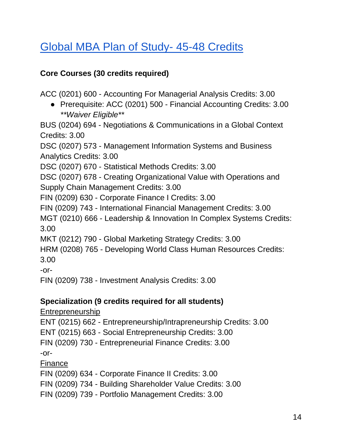## <span id="page-13-0"></span>[Global MBA Plan of Study-](http://catalog.adelphi.edu/preview_program.php?catoid=25&poid=12268) 45-48 Credits

### **Core Courses (30 credits required)**

ACC (0201) 600 - Accounting For Managerial Analysis Credits: 3.00

● Prerequisite: ACC (0201) 500 - Financial Accounting Credits: 3.00 *\*\*Waiver Eligible\*\**

BUS (0204) 694 - Negotiations & Communications in a Global Context Credits: 3.00

DSC (0207) 573 - Management Information Systems and Business Analytics Credits: 3.00

DSC (0207) 670 - Statistical Methods Credits: 3.00

DSC (0207) 678 - Creating Organizational Value with Operations and Supply Chain Management Credits: 3.00

FIN (0209) 630 - Corporate Finance I Credits: 3.00

FIN (0209) 743 - International Financial Management Credits: 3.00

MGT (0210) 666 - Leadership & Innovation In Complex Systems Credits: 3.00

MKT (0212) 790 - Global Marketing Strategy Credits: 3.00

HRM (0208) 765 - Developing World Class Human Resources Credits: 3.00

-or-

FIN (0209) 738 - Investment Analysis Credits: 3.00

### **Specialization (9 credits required for all students)**

Entrepreneurship

ENT (0215) 662 - Entrepreneurship/Intrapreneurship Credits: 3.00

ENT (0215) 663 - Social Entrepreneurship Credits: 3.00

FIN (0209) 730 - Entrepreneurial Finance Credits: 3.00

-or-

Finance

FIN (0209) 634 - Corporate Finance II Credits: 3.00

FIN (0209) 734 - Building Shareholder Value Credits: 3.00

FIN (0209) 739 - Portfolio Management Credits: 3.00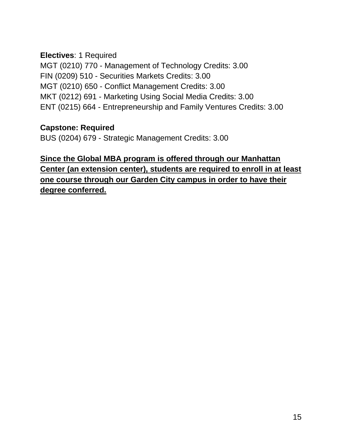#### **Electives**: 1 Required

MGT (0210) 770 - Management of Technology Credits: 3.00 FIN (0209) 510 - Securities Markets Credits: 3.00 MGT (0210) 650 - Conflict Management Credits: 3.00 MKT (0212) 691 - Marketing Using Social Media Credits: 3.00 ENT (0215) 664 - Entrepreneurship and Family Ventures Credits: 3.00

#### **Capstone: Required**

BUS (0204) 679 - Strategic Management Credits: 3.00

### **Since the Global MBA program is offered through our Manhattan Center (an extension center), students are required to enroll in at least one course through our Garden City campus in order to have their degree conferred.**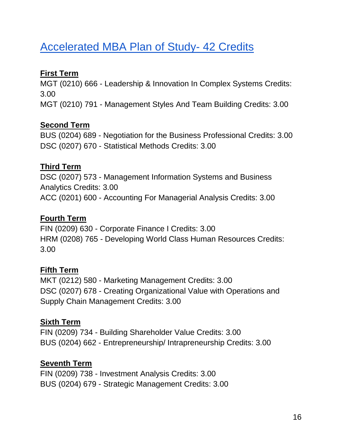## <span id="page-15-0"></span>[Accelerated MBA Plan of Study-](http://catalog.adelphi.edu/preview_program.php?catoid=25&poid=12169) 42 Credits

### **First Term**

MGT (0210) 666 - Leadership & Innovation In Complex Systems Credits: 3.00 MGT (0210) 791 - Management Styles And Team Building Credits: 3.00

### **Second Term**

BUS (0204) 689 - Negotiation for the Business Professional Credits: 3.00 DSC (0207) 670 - Statistical Methods Credits: 3.00

### **Third Term**

DSC (0207) 573 - Management Information Systems and Business Analytics Credits: 3.00 ACC (0201) 600 - Accounting For Managerial Analysis Credits: 3.00

### **Fourth Term**

FIN (0209) 630 - Corporate Finance I Credits: 3.00 HRM (0208) 765 - Developing World Class Human Resources Credits: 3.00

### **Fifth Term**

MKT (0212) 580 - Marketing Management Credits: 3.00 DSC (0207) 678 - Creating Organizational Value with Operations and Supply Chain Management Credits: 3.00

### **Sixth Term**

FIN (0209) 734 - Building Shareholder Value Credits: 3.00 BUS (0204) 662 - Entrepreneurship/ Intrapreneurship Credits: 3.00

### **Seventh Term**

FIN (0209) 738 - Investment Analysis Credits: 3.00 BUS (0204) 679 - Strategic Management Credits: 3.00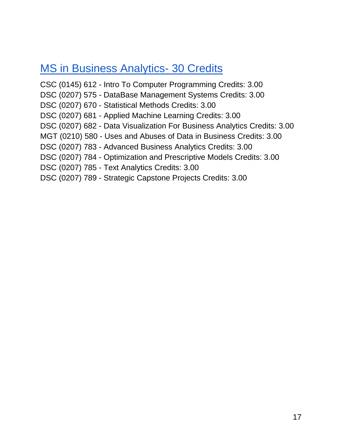### <span id="page-16-0"></span>**[MS in Business Analytics-](http://catalog.adelphi.edu/preview_program.php?catoid=25&poid=12311) 30 Credits**

CSC (0145) 612 - Intro To Computer Programming Credits: 3.00 DSC (0207) 575 - DataBase Management Systems Credits: 3.00 DSC (0207) 670 - Statistical Methods Credits: 3.00 DSC (0207) 681 - Applied Machine Learning Credits: 3.00 DSC (0207) 682 - Data Visualization For Business Analytics Credits: 3.00 MGT (0210) 580 - Uses and Abuses of Data in Business Credits: 3.00 DSC (0207) 783 - Advanced Business Analytics Credits: 3.00 DSC (0207) 784 - Optimization and Prescriptive Models Credits: 3.00 DSC (0207) 785 - Text Analytics Credits: 3.00 DSC (0207) 789 - Strategic Capstone Projects Credits: 3.00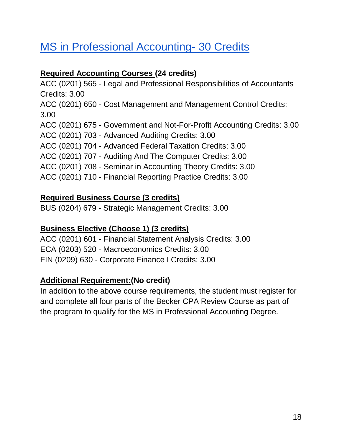## <span id="page-17-0"></span>[MS in Professional Accounting-](http://catalog.adelphi.edu/preview_program.php?catoid=25&poid=12298) 30 Credits

### **Required Accounting Courses (24 credits)**

ACC (0201) 565 - Legal and Professional Responsibilities of Accountants Credits: 3.00 ACC (0201) 650 - Cost Management and Management Control Credits: 3.00 ACC (0201) 675 - Government and Not-For-Profit Accounting Credits: 3.00 ACC (0201) 703 - Advanced Auditing Credits: 3.00 ACC (0201) 704 - Advanced Federal Taxation Credits: 3.00 ACC (0201) 707 - Auditing And The Computer Credits: 3.00 ACC (0201) 708 - Seminar in Accounting Theory Credits: 3.00 ACC (0201) 710 - Financial Reporting Practice Credits: 3.00

### **Required Business Course (3 credits)**

BUS (0204) 679 - Strategic Management Credits: 3.00

### **Business Elective (Choose 1) (3 credits)**

ACC (0201) 601 - Financial Statement Analysis Credits: 3.00 ECA (0203) 520 - Macroeconomics Credits: 3.00 FIN (0209) 630 - Corporate Finance I Credits: 3.00

### **Additional Requirement:(No credit)**

In addition to the above course requirements, the student must register for and complete all four parts of the Becker CPA Review Course as part of the program to qualify for the MS in Professional Accounting Degree.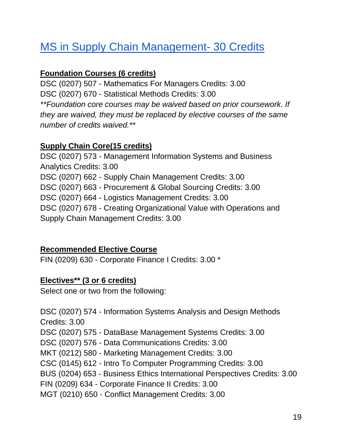## <span id="page-18-0"></span>[MS in Supply Chain Management-](http://catalog.adelphi.edu/preview_program.php?catoid=25&poid=12243) 30 Credits

### **Foundation Courses (6 credits)**

DSC (0207) 507 - Mathematics For Managers Credits: 3.00 DSC (0207) 670 - Statistical Methods Credits: 3.00 *\*\*Foundation core courses may be waived based on prior coursework. If they are waived, they must be replaced by elective courses of the same number of credits waived.\*\**

### **Supply Chain Core(15 credits)**

DSC (0207) 573 - Management Information Systems and Business Analytics Credits: 3.00 DSC (0207) 662 - Supply Chain Management Credits: 3.00 DSC (0207) 663 - Procurement & Global Sourcing Credits: 3.00 DSC (0207) 664 - Logistics Management Credits: 3.00 DSC (0207) 678 - Creating Organizational Value with Operations and Supply Chain Management Credits: 3.00

#### **Recommended Elective Course**

FIN (0209) 630 - Corporate Finance I Credits: 3.00 \*

#### **Electives\*\* (3 or 6 credits)**

Select one or two from the following:

DSC (0207) 574 - Information Systems Analysis and Design Methods Credits: 3.00 DSC (0207) 575 - DataBase Management Systems Credits: 3.00 DSC (0207) 576 - Data Communications Credits: 3.00 MKT (0212) 580 - Marketing Management Credits: 3.00 CSC (0145) 612 - Intro To Computer Programming Credits: 3.00 BUS (0204) 653 - Business Ethics International Perspectives Credits: 3.00 FIN (0209) 634 - Corporate Finance II Credits: 3.00 MGT (0210) 650 - Conflict Management Credits: 3.00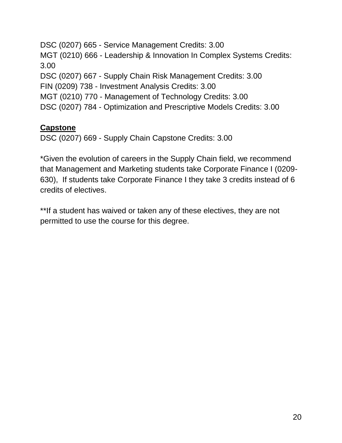DSC (0207) 665 - Service Management Credits: 3.00 MGT (0210) 666 - Leadership & Innovation In Complex Systems Credits: 3.00 DSC (0207) 667 - Supply Chain Risk Management Credits: 3.00 FIN (0209) 738 - Investment Analysis Credits: 3.00 MGT (0210) 770 - Management of Technology Credits: 3.00 DSC (0207) 784 - Optimization and Prescriptive Models Credits: 3.00

### **Capstone**

DSC (0207) 669 - Supply Chain Capstone Credits: 3.00

\*Given the evolution of careers in the Supply Chain field, we recommend that Management and Marketing students take Corporate Finance I (0209- 630), If students take Corporate Finance I they take 3 credits instead of 6 credits of electives.

\*\*If a student has waived or taken any of these electives, they are not permitted to use the course for this degree.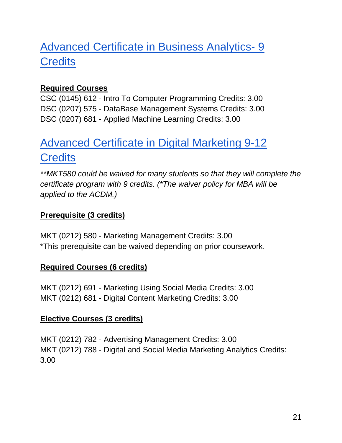## <span id="page-20-0"></span>[Advanced Certificate in Business Analytics-](http://catalog.adelphi.edu/preview_program.php?catoid=25&poid=12333) 9 **Credits**

### **Required Courses**

CSC (0145) 612 - Intro To Computer Programming Credits: 3.00 DSC (0207) 575 - DataBase Management Systems Credits: 3.00 DSC (0207) 681 - Applied Machine Learning Credits: 3.00

## <span id="page-20-1"></span>[Advanced Certificate in Digital Marketing 9-12](http://catalog.adelphi.edu/preview_program.php?catoid=25&poid=12331)  **Credits**

*\*\*MKT580 could be waived for many students so that they will complete the certificate program with 9 credits. (\*The waiver policy for MBA will be applied to the ACDM.)*

#### **Prerequisite (3 credits)**

MKT (0212) 580 - Marketing Management Credits: 3.00 \*This prerequisite can be waived depending on prior coursework.

#### **Required Courses (6 credits)**

MKT (0212) 691 - Marketing Using Social Media Credits: 3.00 MKT (0212) 681 - Digital Content Marketing Credits: 3.00

#### **Elective Courses (3 credits)**

MKT (0212) 782 - Advertising Management Credits: 3.00 MKT (0212) 788 - Digital and Social Media Marketing Analytics Credits: 3.00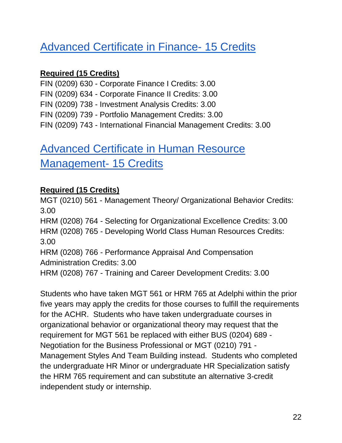## <span id="page-21-0"></span>[Advanced Certificate in Finance](http://catalog.adelphi.edu/preview_program.php?catoid=25&poid=12203)- 15 Credits

### **Required (15 Credits)**

FIN (0209) 630 - Corporate Finance I Credits: 3.00 FIN (0209) 634 - Corporate Finance II Credits: 3.00 FIN (0209) 738 - Investment Analysis Credits: 3.00 FIN (0209) 739 - Portfolio Management Credits: 3.00 FIN (0209) 743 - International Financial Management Credits: 3.00

## <span id="page-21-1"></span>[Advanced Certificate in Human Resource](http://catalog.adelphi.edu/preview_program.php?catoid=25&poid=12013)  [Management-](http://catalog.adelphi.edu/preview_program.php?catoid=25&poid=12013) 15 Credits

### **Required (15 Credits)**

MGT (0210) 561 - Management Theory/ Organizational Behavior Credits: 3.00 HRM (0208) 764 - Selecting for Organizational Excellence Credits: 3.00 HRM (0208) 765 - Developing World Class Human Resources Credits: 3.00 HRM (0208) 766 - Performance Appraisal And Compensation Administration Credits: 3.00 HRM (0208) 767 - Training and Career Development Credits: 3.00

Students who have taken MGT 561 or HRM 765 at Adelphi within the prior five years may apply the credits for those courses to fulfill the requirements for the ACHR. Students who have taken undergraduate courses in organizational behavior or organizational theory may request that the requirement for MGT 561 be replaced with either BUS (0204) 689 - Negotiation for the Business Professional or MGT (0210) 791 - Management Styles And Team Building instead. Students who completed the undergraduate HR Minor or undergraduate HR Specialization satisfy the HRM 765 requirement and can substitute an alternative 3-credit independent study or internship.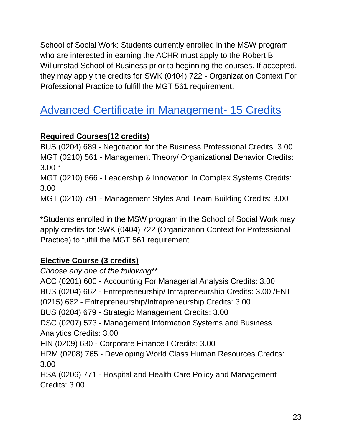School of Social Work: Students currently enrolled in the MSW program who are interested in earning the ACHR must apply to the Robert B. Willumstad School of Business prior to beginning the courses. If accepted, they may apply the credits for SWK (0404) 722 - Organization Context For Professional Practice to fulfill the MGT 561 requirement.

## <span id="page-22-0"></span>[Advanced Certificate in Management-](http://catalog.adelphi.edu/preview_program.php?catoid=25&poid=12246) 15 Credits

### **Required Courses(12 credits)**

BUS (0204) 689 - Negotiation for the Business Professional Credits: 3.00 MGT (0210) 561 - Management Theory/ Organizational Behavior Credits: 3.00 \* MGT (0210) 666 - Leadership & Innovation In Complex Systems Credits: 3.00 MGT (0210) 791 - Management Styles And Team Building Credits: 3.00

\*Students enrolled in the MSW program in the School of Social Work may apply credits for SWK (0404) 722 (Organization Context for Professional Practice) to fulfill the MGT 561 requirement.

### **Elective Course (3 credits)**

*Choose any one of the following\*\** ACC (0201) 600 - Accounting For Managerial Analysis Credits: 3.00 BUS (0204) 662 - Entrepreneurship/ Intrapreneurship Credits: 3.00 /ENT (0215) 662 - Entrepreneurship/Intrapreneurship Credits: 3.00 BUS (0204) 679 - Strategic Management Credits: 3.00 DSC (0207) 573 - Management Information Systems and Business Analytics Credits: 3.00 FIN (0209) 630 - Corporate Finance I Credits: 3.00 HRM (0208) 765 - Developing World Class Human Resources Credits: 3.00 HSA (0206) 771 - Hospital and Health Care Policy and Management Credits: 3.00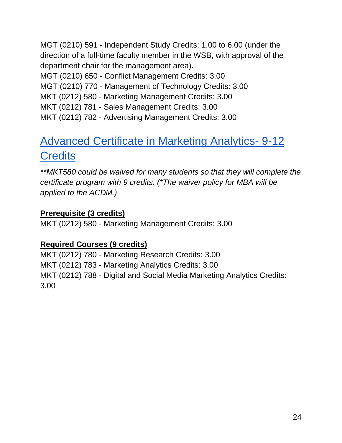MGT (0210) 591 - Independent Study Credits: 1.00 to 6.00 (under the direction of a full-time faculty member in the WSB, with approval of the department chair for the management area).

MGT (0210) 650 - Conflict Management Credits: 3.00

MGT (0210) 770 - Management of Technology Credits: 3.00

MKT (0212) 580 - Marketing Management Credits: 3.00

MKT (0212) 781 - Sales Management Credits: 3.00

<span id="page-23-0"></span>MKT (0212) 782 - Advertising Management Credits: 3.00

## [Advanced Certificate in Marketing Analytics-](http://catalog.adelphi.edu/preview_program.php?catoid=25&poid=12332) 9-12 **Credits**

*\*\*MKT580 could be waived for many students so that they will complete the certificate program with 9 credits. (\*The waiver policy for MBA will be applied to the ACDM.)*

### **Prerequisite (3 credits)**

MKT (0212) 580 - Marketing Management Credits: 3.00

### **Required Courses (9 credits)**

MKT (0212) 780 - Marketing Research Credits: 3.00 MKT (0212) 783 - Marketing Analytics Credits: 3.00 MKT (0212) 788 - Digital and Social Media Marketing Analytics Credits: 3.00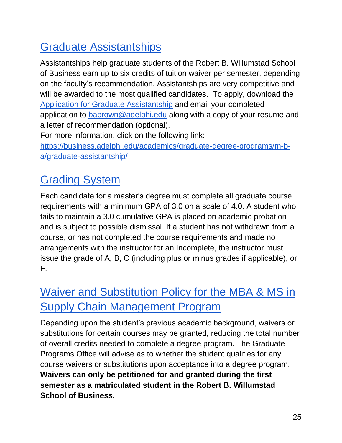## <span id="page-24-0"></span>Graduate Assistantships

Assistantships help graduate students of the Robert B. Willumstad School of Business earn up to six credits of tuition waiver per semester, depending on the faculty's recommendation. Assistantships are very competitive and will be awarded to the most qualified candidates. To apply, download the [Application for Graduate Assistantship](https://www.adelphi.edu/business/wp-content/uploads/sites/18/2020/05/application.pdf) and email your completed application to [babrown@adelphi.edu](mailto:babrown@adelphi.edu) along with a copy of your resume and a letter of recommendation (optional).

For more information, click on the following link:

[https://business.adelphi.edu/academics/graduate-degree-programs/m-b](https://business.adelphi.edu/academics/graduate-degree-programs/m-b-a/graduate-assistantship/)[a/graduate-assistantship/](https://business.adelphi.edu/academics/graduate-degree-programs/m-b-a/graduate-assistantship/)

## <span id="page-24-1"></span>Grading System

Each candidate for a master's degree must complete all graduate course requirements with a minimum GPA of 3.0 on a scale of 4.0. A student who fails to maintain a 3.0 cumulative GPA is placed on academic probation and is subject to possible dismissal. If a student has not withdrawn from a course, or has not completed the course requirements and made no arrangements with the instructor for an Incomplete, the instructor must issue the grade of A, B, C (including plus or minus grades if applicable), or F.

## <span id="page-24-2"></span>Waiver and Substitution Policy for the MBA & MS in Supply Chain Management Program

Depending upon the student's previous academic background, waivers or substitutions for certain courses may be granted, reducing the total number of overall credits needed to complete a degree program. The Graduate Programs Office will advise as to whether the student qualifies for any course waivers or substitutions upon acceptance into a degree program. **Waivers can only be petitioned for and granted during the first semester as a matriculated student in the Robert B. Willumstad School of Business.**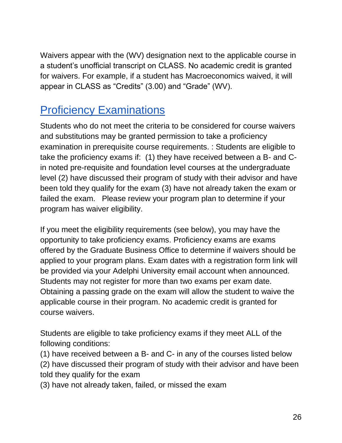Waivers appear with the (WV) designation next to the applicable course in a student's unofficial transcript on CLASS. No academic credit is granted for waivers. For example, if a student has Macroeconomics waived, it will appear in CLASS as "Credits" (3.00) and "Grade" (WV).

### <span id="page-25-0"></span>Proficiency Examinations

Students who do not meet the criteria to be considered for course waivers and substitutions may be granted permission to take a proficiency examination in prerequisite course requirements. : Students are eligible to take the proficiency exams if: (1) they have received between a B- and Cin noted pre-requisite and foundation level courses at the undergraduate level (2) have discussed their program of study with their advisor and have been told they qualify for the exam (3) have not already taken the exam or failed the exam. Please review your program plan to determine if your program has waiver eligibility.

If you meet the eligibility requirements (see below), you may have the opportunity to take proficiency exams. Proficiency exams are exams offered by the Graduate Business Office to determine if waivers should be applied to your program plans. Exam dates with a registration form link will be provided via your Adelphi University email account when announced. Students may not register for more than two exams per exam date. Obtaining a passing grade on the exam will allow the student to waive the applicable course in their program. No academic credit is granted for course waivers.

Students are eligible to take proficiency exams if they meet ALL of the following conditions:

(1) have received between a B- and C- in any of the courses listed below (2) have discussed their program of study with their advisor and have been told they qualify for the exam

(3) have not already taken, failed, or missed the exam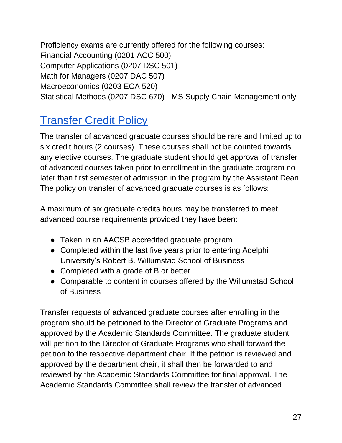Proficiency exams are currently offered for the following courses: Financial Accounting (0201 ACC 500) Computer Applications (0207 DSC 501) Math for Managers (0207 DAC 507) Macroeconomics (0203 ECA 520) Statistical Methods (0207 DSC 670) - MS Supply Chain Management only

## <span id="page-26-0"></span>Transfer Credit Policy

The transfer of advanced graduate courses should be rare and limited up to six credit hours (2 courses). These courses shall not be counted towards any elective courses. The graduate student should get approval of transfer of advanced courses taken prior to enrollment in the graduate program no later than first semester of admission in the program by the Assistant Dean. The policy on transfer of advanced graduate courses is as follows:

A maximum of six graduate credits hours may be transferred to meet advanced course requirements provided they have been:

- Taken in an AACSB accredited graduate program
- Completed within the last five years prior to entering Adelphi University's Robert B. Willumstad School of Business
- Completed with a grade of B or better
- Comparable to content in courses offered by the Willumstad School of Business

Transfer requests of advanced graduate courses after enrolling in the program should be petitioned to the Director of Graduate Programs and approved by the Academic Standards Committee. The graduate student will petition to the Director of Graduate Programs who shall forward the petition to the respective department chair. If the petition is reviewed and approved by the department chair, it shall then be forwarded to and reviewed by the Academic Standards Committee for final approval. The Academic Standards Committee shall review the transfer of advanced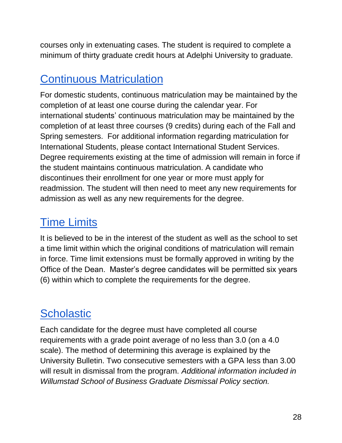courses only in extenuating cases. The student is required to complete a minimum of thirty graduate credit hours at Adelphi University to graduate.

## <span id="page-27-0"></span>Continuous Matriculation

For domestic students, continuous matriculation may be maintained by the completion of at least one course during the calendar year. For international students' continuous matriculation may be maintained by the completion of at least three courses (9 credits) during each of the Fall and Spring semesters. For additional information regarding matriculation for International Students, please contact International Student Services. Degree requirements existing at the time of admission will remain in force if the student maintains continuous matriculation. A candidate who discontinues their enrollment for one year or more must apply for readmission. The student will then need to meet any new requirements for admission as well as any new requirements for the degree.

## <span id="page-27-1"></span>Time Limits

It is believed to be in the interest of the student as well as the school to set a time limit within which the original conditions of matriculation will remain in force. Time limit extensions must be formally approved in writing by the Office of the Dean. Master's degree candidates will be permitted six years (6) within which to complete the requirements for the degree.

## <span id="page-27-2"></span>**Scholastic**

Each candidate for the degree must have completed all course requirements with a grade point average of no less than 3.0 (on a 4.0 scale). The method of determining this average is explained by the University Bulletin. Two consecutive semesters with a GPA less than 3.00 will result in dismissal from the program. *Additional information included in Willumstad School of Business Graduate Dismissal Policy section.*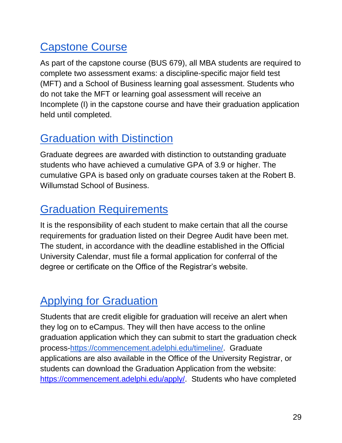## <span id="page-28-0"></span>Capstone Course

As part of the capstone course (BUS 679), all MBA students are required to complete two assessment exams: a discipline-specific major field test (MFT) and a School of Business learning goal assessment. Students who do not take the MFT or learning goal assessment will receive an Incomplete (I) in the capstone course and have their graduation application held until completed.

## <span id="page-28-1"></span>Graduation with Distinction

Graduate degrees are awarded with distinction to outstanding graduate students who have achieved a cumulative GPA of 3.9 or higher. The cumulative GPA is based only on graduate courses taken at the Robert B. Willumstad School of Business.

## <span id="page-28-2"></span>Graduation Requirements

It is the responsibility of each student to make certain that all the course requirements for graduation listed on their Degree Audit have been met. The student, in accordance with the deadline established in the Official University Calendar, must file a formal application for conferral of the degree or certificate on the Office of the Registrar's website.

## <span id="page-28-3"></span>Applying for Graduation

Students that are credit eligible for graduation will receive an alert when they log on to eCampus. They will then have access to the online graduation application which they can submit to start the graduation check process[-https://commencement.adelphi.edu/timeline/.](https://commencement.adelphi.edu/timeline/) Graduate applications are also available in the Office of the University Registrar, or students can download the Graduation Application from the website: [https://commencement.adelphi.edu/apply/.](https://commencement.adelphi.edu/apply/) Students who have completed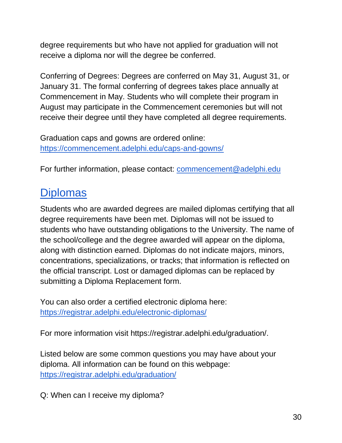degree requirements but who have not applied for graduation will not receive a diploma nor will the degree be conferred.

Conferring of Degrees: Degrees are conferred on May 31, August 31, or January 31. The formal conferring of degrees takes place annually at Commencement in May. Students who will complete their program in August may participate in the Commencement ceremonies but will not receive their degree until they have completed all degree requirements.

Graduation caps and gowns are ordered online: <https://commencement.adelphi.edu/caps-and-gowns/>

<span id="page-29-0"></span>For further information, please contact: [commencement@adelphi.edu](mailto:commencement@adelphi.edu)

### **Diplomas**

Students who are awarded degrees are mailed diplomas certifying that all degree requirements have been met. Diplomas will not be issued to students who have outstanding obligations to the University. The name of the school/college and the degree awarded will appear on the diploma, along with distinction earned. Diplomas do not indicate majors, minors, concentrations, specializations, or tracks; that information is reflected on the official transcript. Lost or damaged diplomas can be replaced by submitting a Diploma Replacement form.

You can also order a certified electronic diploma here: <https://registrar.adelphi.edu/electronic-diplomas/>

For more information visit https://registrar.adelphi.edu/graduation/.

Listed below are some common questions you may have about your diploma. All information can be found on this webpage: <https://registrar.adelphi.edu/graduation/>

Q: When can I receive my diploma?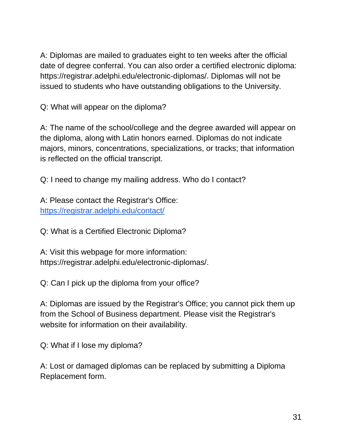A: Diplomas are mailed to graduates eight to ten weeks after the official date of degree conferral. You can also order a certified electronic diploma: https://registrar.adelphi.edu/electronic-diplomas/. Diplomas will not be issued to students who have outstanding obligations to the University.

Q: What will appear on the diploma?

A: The name of the school/college and the degree awarded will appear on the diploma, along with Latin honors earned. Diplomas do not indicate majors, minors, concentrations, specializations, or tracks; that information is reflected on the official transcript.

Q: I need to change my mailing address. Who do I contact?

A: Please contact the Registrar's Office: <https://registrar.adelphi.edu/contact/>

Q: What is a Certified Electronic Diploma?

A: Visit this webpage for more information: https://registrar.adelphi.edu/electronic-diplomas/.

Q: Can I pick up the diploma from your office?

A: Diplomas are issued by the Registrar's Office; you cannot pick them up from the School of Business department. Please visit the Registrar's website for information on their availability.

Q: What if I lose my diploma?

A: Lost or damaged diplomas can be replaced by submitting a Diploma Replacement form.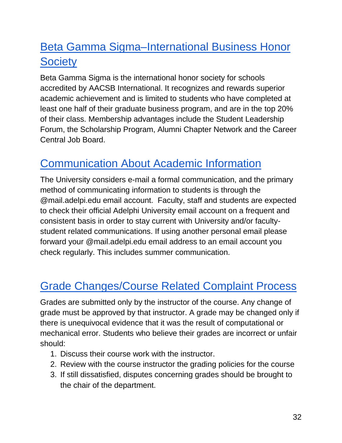## <span id="page-31-0"></span>Beta Gamma Sigma–International Business Honor **Society**

Beta Gamma Sigma is the international honor society for schools accredited by AACSB International. It recognizes and rewards superior academic achievement and is limited to students who have completed at least one half of their graduate business program, and are in the top 20% of their class. Membership advantages include the Student Leadership Forum, the Scholarship Program, Alumni Chapter Network and the Career Central Job Board.

## <span id="page-31-1"></span>Communication About Academic Information

The University considers e-mail a formal communication, and the primary method of communicating information to students is through the @mail.adelpi.edu email account. Faculty, staff and students are expected to check their official Adelphi University email account on a frequent and consistent basis in order to stay current with University and/or facultystudent related communications. If using another personal email please forward your @mail.adelpi.edu email address to an email account you check regularly. This includes summer communication.

## <span id="page-31-2"></span>Grade Changes/Course Related Complaint Process

Grades are submitted only by the instructor of the course. Any change of grade must be approved by that instructor. A grade may be changed only if there is unequivocal evidence that it was the result of computational or mechanical error. Students who believe their grades are incorrect or unfair should:

- 1. Discuss their course work with the instructor.
- 2. Review with the course instructor the grading policies for the course
- 3. If still dissatisfied, disputes concerning grades should be brought to the chair of the department.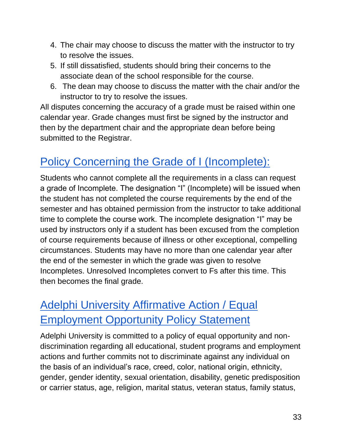- 4. The chair may choose to discuss the matter with the instructor to try to resolve the issues.
- 5. If still dissatisfied, students should bring their concerns to the associate dean of the school responsible for the course.
- 6. The dean may choose to discuss the matter with the chair and/or the instructor to try to resolve the issues.

All disputes concerning the accuracy of a grade must be raised within one calendar year. Grade changes must first be signed by the instructor and then by the department chair and the appropriate dean before being submitted to the Registrar.

## <span id="page-32-0"></span>Policy Concerning the Grade of I (Incomplete):

Students who cannot complete all the requirements in a class can request a grade of Incomplete. The designation "I" (Incomplete) will be issued when the student has not completed the course requirements by the end of the semester and has obtained permission from the instructor to take additional time to complete the course work. The incomplete designation "I" may be used by instructors only if a student has been excused from the completion of course requirements because of illness or other exceptional, compelling circumstances. Students may have no more than one calendar year after the end of the semester in which the grade was given to resolve Incompletes. Unresolved Incompletes convert to Fs after this time. This then becomes the final grade.

## <span id="page-32-1"></span>Adelphi University Affirmative Action / Equal Employment Opportunity Policy Statement

Adelphi University is committed to a policy of equal opportunity and nondiscrimination regarding all educational, student programs and employment actions and further commits not to discriminate against any individual on the basis of an individual's race, creed, color, national origin, ethnicity, gender, gender identity, sexual orientation, disability, genetic predisposition or carrier status, age, religion, marital status, veteran status, family status,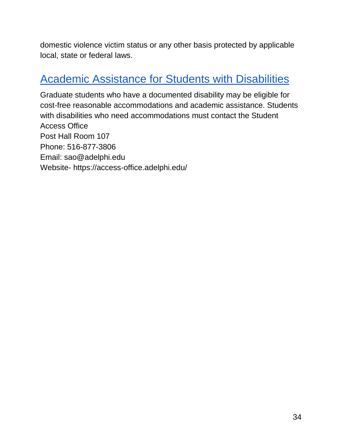domestic violence victim status or any other basis protected by applicable local, state or federal laws.

### <span id="page-33-0"></span>Academic Assistance for Students with Disabilities

Graduate students who have a documented disability may be eligible for cost-free reasonable accommodations and academic assistance. Students with disabilities who need accommodations must contact the Student Access Office Post Hall Room 107 Phone: 516-877-3806 Email: sao@adelphi.edu Website- https://access-office.adelphi.edu/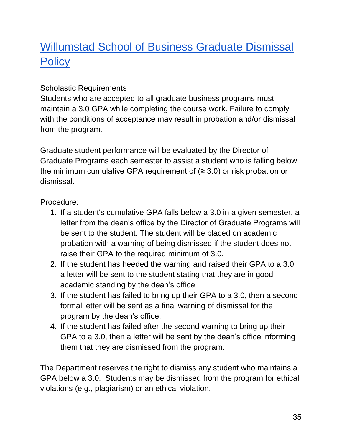## <span id="page-34-0"></span>Willumstad School of Business Graduate Dismissal **Policy**

### Scholastic Requirements

Students who are accepted to all graduate business programs must maintain a 3.0 GPA while completing the course work. Failure to comply with the conditions of acceptance may result in probation and/or dismissal from the program.

Graduate student performance will be evaluated by the Director of Graduate Programs each semester to assist a student who is falling below the minimum cumulative GPA requirement of  $(≥ 3.0)$  or risk probation or dismissal.

#### Procedure:

- 1. If a student's cumulative GPA falls below a 3.0 in a given semester, a letter from the dean's office by the Director of Graduate Programs will be sent to the student. The student will be placed on academic probation with a warning of being dismissed if the student does not raise their GPA to the required minimum of 3.0.
- 2. If the student has heeded the warning and raised their GPA to a 3.0, a letter will be sent to the student stating that they are in good academic standing by the dean's office
- 3. If the student has failed to bring up their GPA to a 3.0, then a second formal letter will be sent as a final warning of dismissal for the program by the dean's office.
- 4. If the student has failed after the second warning to bring up their GPA to a 3.0, then a letter will be sent by the dean's office informing them that they are dismissed from the program.

The Department reserves the right to dismiss any student who maintains a GPA below a 3.0. Students may be dismissed from the program for ethical violations (e.g., plagiarism) or an ethical violation.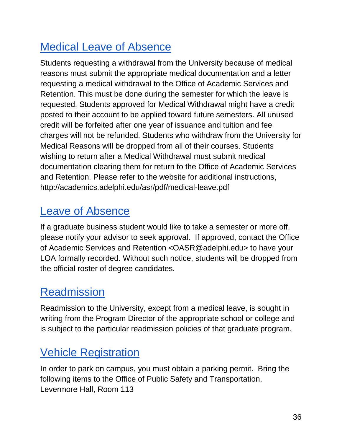## <span id="page-35-0"></span>Medical Leave of Absence

Students requesting a withdrawal from the University because of medical reasons must submit the appropriate medical documentation and a letter requesting a medical withdrawal to the Office of Academic Services and Retention. This must be done during the semester for which the leave is requested. Students approved for Medical Withdrawal might have a credit posted to their account to be applied toward future semesters. All unused credit will be forfeited after one year of issuance and tuition and fee charges will not be refunded. Students who withdraw from the University for Medical Reasons will be dropped from all of their courses. Students wishing to return after a Medical Withdrawal must submit medical documentation clearing them for return to the Office of Academic Services and Retention. Please refer to the website for additional instructions, http://academics.adelphi.edu/asr/pdf/medical-leave.pdf

## <span id="page-35-1"></span>Leave of Absence

If a graduate business student would like to take a semester or more off, please notify your advisor to seek approval. If approved, contact the Office of Academic Services and Retention <OASR@adelphi.edu> to have your LOA formally recorded. Without such notice, students will be dropped from the official roster of degree candidates.

## <span id="page-35-2"></span>**Readmission**

Readmission to the University, except from a medical leave, is sought in writing from the Program Director of the appropriate school or college and is subject to the particular readmission policies of that graduate program.

## <span id="page-35-3"></span>Vehicle Registration

In order to park on campus, you must obtain a parking permit. Bring the following items to the Office of Public Safety and Transportation, Levermore Hall, Room 113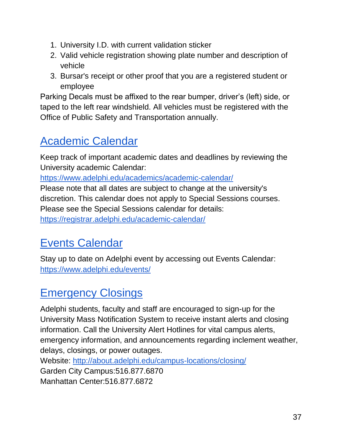- 1. University I.D. with current validation sticker
- 2. Valid vehicle registration showing plate number and description of vehicle
- 3. Bursar's receipt or other proof that you are a registered student or employee

Parking Decals must be affixed to the rear bumper, driver's (left) side, or taped to the left rear windshield. All vehicles must be registered with the Office of Public Safety and Transportation annually.

## <span id="page-36-0"></span>Academic Calendar

Keep track of important academic dates and deadlines by reviewing the University academic Calendar:

<https://www.adelphi.edu/academics/academic-calendar/>

Please note that all dates are subject to change at the university's discretion. This calendar does not apply to Special Sessions courses. Please see the Special Sessions calendar for details:

<span id="page-36-1"></span><https://registrar.adelphi.edu/academic-calendar/>

## Events Calendar

Stay up to date on Adelphi event by accessing out Events Calendar: <https://www.adelphi.edu/events/>

## <span id="page-36-2"></span>Emergency Closings

Adelphi students, faculty and staff are encouraged to sign-up for the University Mass Notification System to receive instant alerts and closing information. Call the University Alert Hotlines for vital campus alerts, emergency information, and announcements regarding inclement weather, delays, closings, or power outages.

Website:<http://about.adelphi.edu/campus-locations/closing/> Garden City Campus:516.877.6870 Manhattan Center:516.877.6872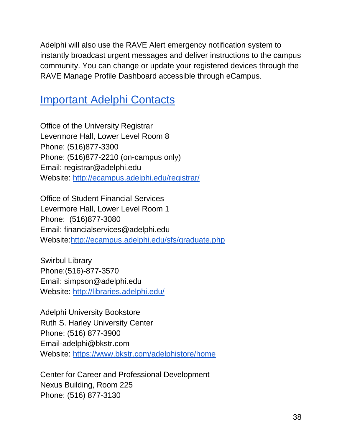Adelphi will also use the RAVE Alert emergency notification system to instantly broadcast urgent messages and deliver instructions to the campus community. You can change or update your registered devices through the RAVE Manage Profile Dashboard accessible through eCampus.

### <span id="page-37-0"></span>Important Adelphi Contacts

Office of the University Registrar Levermore Hall, Lower Level Room 8 Phone: (516)877-3300 Phone: (516)877-2210 (on-campus only) Email: registrar@adelphi.edu Website:<http://ecampus.adelphi.edu/registrar/>

Office of Student Financial Services Levermore Hall, Lower Level Room 1 Phone: (516)877-3080 Email: financialservices@adelphi.edu Website[:http://ecampus.adelphi.edu/sfs/graduate.php](http://ecampus.adelphi.edu/sfs/graduate.php)

Swirbul Library Phone:(516)-877-3570 Email: simpson@adelphi.edu Website: <http://libraries.adelphi.edu/>

Adelphi University Bookstore Ruth S. Harley University Center Phone: (516) 877-3900 Email-adelphi@bkstr.com Website: <https://www.bkstr.com/adelphistore/home>

Center for Career and Professional Development Nexus Building, Room 225 Phone: (516) 877-3130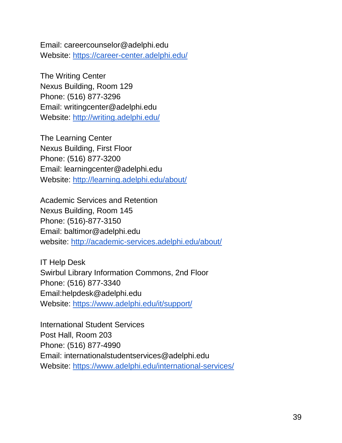Email: careercounselor@adelphi.edu Website: <https://career-center.adelphi.edu/>

The Writing Center Nexus Building, Room 129 Phone: (516) 877-3296 Email: writingcenter@adelphi.edu Website: <http://writing.adelphi.edu/>

The Learning Center Nexus Building, First Floor Phone: (516) 877-3200 Email: learningcenter@adelphi.edu Website: <http://learning.adelphi.edu/about/>

Academic Services and Retention Nexus Building, Room 145 Phone: (516)-877-3150 Email: baltimor@adelphi.edu website: <http://academic-services.adelphi.edu/about/>

IT Help Desk Swirbul Library Information Commons, 2nd Floor Phone: (516) 877-3340 Email:helpdesk@adelphi.edu Website:<https://www.adelphi.edu/it/support/>

International Student Services Post Hall, Room 203 Phone: (516) 877-4990 Email: internationalstudentservices@adelphi.edu Website: <https://www.adelphi.edu/international-services/>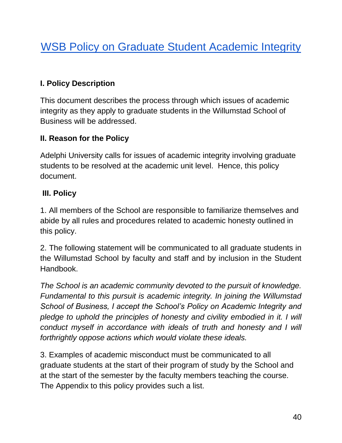## <span id="page-39-0"></span>WSB Policy on Graduate Student Academic Integrity

### <span id="page-39-1"></span>**I. Policy Description**

This document describes the process through which issues of academic integrity as they apply to graduate students in the Willumstad School of Business will be addressed.

### <span id="page-39-2"></span>**II. Reason for the Policy**

Adelphi University calls for issues of academic integrity involving graduate students to be resolved at the academic unit level. Hence, this policy document.

#### <span id="page-39-3"></span>**III. Policy**

1. All members of the School are responsible to familiarize themselves and abide by all rules and procedures related to academic honesty outlined in this policy.

2. The following statement will be communicated to all graduate students in the Willumstad School by faculty and staff and by inclusion in the Student **Handbook** 

*The School is an academic community devoted to the pursuit of knowledge. Fundamental to this pursuit is academic integrity. In joining the Willumstad School of Business, I accept the School's Policy on Academic Integrity and*  pledge to uphold the principles of honesty and civility embodied in it. I will *conduct myself in accordance with ideals of truth and honesty and I will forthrightly oppose actions which would violate these ideals.*

3. Examples of academic misconduct must be communicated to all graduate students at the start of their program of study by the School and at the start of the semester by the faculty members teaching the course. The Appendix to this policy provides such a list.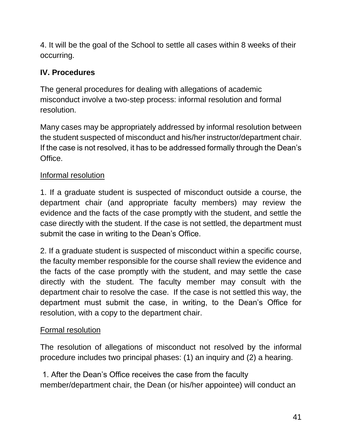4. It will be the goal of the School to settle all cases within 8 weeks of their occurring.

### <span id="page-40-0"></span>**IV. Procedures**

The general procedures for dealing with allegations of academic misconduct involve a two-step process: informal resolution and formal resolution.

Many cases may be appropriately addressed by informal resolution between the student suspected of misconduct and his/her instructor/department chair. If the case is not resolved, it has to be addressed formally through the Dean's Office.

### Informal resolution

1. If a graduate student is suspected of misconduct outside a course, the department chair (and appropriate faculty members) may review the evidence and the facts of the case promptly with the student, and settle the case directly with the student. If the case is not settled, the department must submit the case in writing to the Dean's Office.

2. If a graduate student is suspected of misconduct within a specific course, the faculty member responsible for the course shall review the evidence and the facts of the case promptly with the student, and may settle the case directly with the student. The faculty member may consult with the department chair to resolve the case. If the case is not settled this way, the department must submit the case, in writing, to the Dean's Office for resolution, with a copy to the department chair.

### Formal resolution

The resolution of allegations of misconduct not resolved by the informal procedure includes two principal phases: (1) an inquiry and (2) a hearing.

1. After the Dean's Office receives the case from the faculty member/department chair, the Dean (or his/her appointee) will conduct an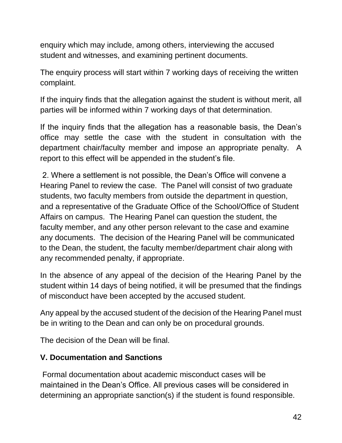enquiry which may include, among others, interviewing the accused student and witnesses, and examining pertinent documents.

The enquiry process will start within 7 working days of receiving the written complaint.

If the inquiry finds that the allegation against the student is without merit, all parties will be informed within 7 working days of that determination.

If the inquiry finds that the allegation has a reasonable basis, the Dean's office may settle the case with the student in consultation with the department chair/faculty member and impose an appropriate penalty. A report to this effect will be appended in the student's file.

2. Where a settlement is not possible, the Dean's Office will convene a Hearing Panel to review the case. The Panel will consist of two graduate students, two faculty members from outside the department in question, and a representative of the Graduate Office of the School/Office of Student Affairs on campus. The Hearing Panel can question the student, the faculty member, and any other person relevant to the case and examine any documents. The decision of the Hearing Panel will be communicated to the Dean, the student, the faculty member/department chair along with any recommended penalty, if appropriate.

In the absence of any appeal of the decision of the Hearing Panel by the student within 14 days of being notified, it will be presumed that the findings of misconduct have been accepted by the accused student.

Any appeal by the accused student of the decision of the Hearing Panel must be in writing to the Dean and can only be on procedural grounds.

The decision of the Dean will be final.

### <span id="page-41-0"></span>**V. Documentation and Sanctions**

Formal documentation about academic misconduct cases will be maintained in the Dean's Office. All previous cases will be considered in determining an appropriate sanction(s) if the student is found responsible.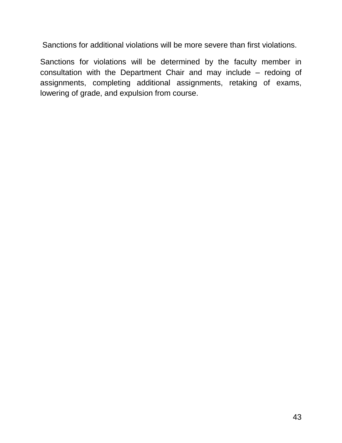Sanctions for additional violations will be more severe than first violations.

Sanctions for violations will be determined by the faculty member in consultation with the Department Chair and may include – redoing of assignments, completing additional assignments, retaking of exams, lowering of grade, and expulsion from course.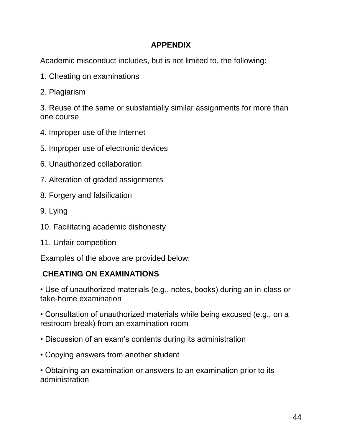#### **APPENDIX**

<span id="page-43-0"></span>Academic misconduct includes, but is not limited to, the following:

- 1. Cheating on examinations
- 2. Plagiarism

3. Reuse of the same or substantially similar assignments for more than one course

- 4. Improper use of the Internet
- 5. Improper use of electronic devices
- 6. Unauthorized collaboration
- 7. Alteration of graded assignments
- 8. Forgery and falsification
- 9. Lying
- 10. Facilitating academic dishonesty
- 11. Unfair competition

Examples of the above are provided below:

### **CHEATING ON EXAMINATIONS**

• Use of unauthorized materials (e.g., notes, books) during an in-class or take-home examination

• Consultation of unauthorized materials while being excused (e.g., on a restroom break) from an examination room

- Discussion of an exam's contents during its administration
- Copying answers from another student

• Obtaining an examination or answers to an examination prior to its administration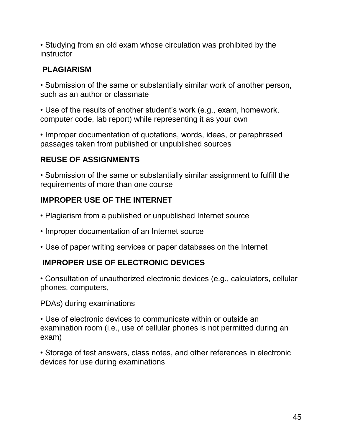• Studying from an old exam whose circulation was prohibited by the instructor

#### **PLAGIARISM**

• Submission of the same or substantially similar work of another person, such as an author or classmate

• Use of the results of another student's work (e.g., exam, homework, computer code, lab report) while representing it as your own

• Improper documentation of quotations, words, ideas, or paraphrased passages taken from published or unpublished sources

### **REUSE OF ASSIGNMENTS**

• Submission of the same or substantially similar assignment to fulfill the requirements of more than one course

#### **IMPROPER USE OF THE INTERNET**

- Plagiarism from a published or unpublished Internet source
- Improper documentation of an Internet source
- Use of paper writing services or paper databases on the Internet

#### **IMPROPER USE OF ELECTRONIC DEVICES**

• Consultation of unauthorized electronic devices (e.g., calculators, cellular phones, computers,

PDAs) during examinations

• Use of electronic devices to communicate within or outside an examination room (i.e., use of cellular phones is not permitted during an exam)

• Storage of test answers, class notes, and other references in electronic devices for use during examinations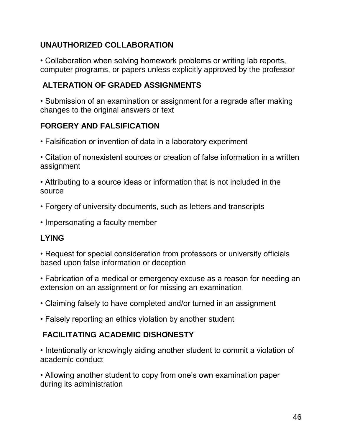### **UNAUTHORIZED COLLABORATION**

• Collaboration when solving homework problems or writing lab reports, computer programs, or papers unless explicitly approved by the professor

### **ALTERATION OF GRADED ASSIGNMENTS**

• Submission of an examination or assignment for a regrade after making changes to the original answers or text

### **FORGERY AND FALSIFICATION**

- Falsification or invention of data in a laboratory experiment
- Citation of nonexistent sources or creation of false information in a written assignment
- Attributing to a source ideas or information that is not included in the source
- Forgery of university documents, such as letters and transcripts
- Impersonating a faculty member

### **LYING**

• Request for special consideration from professors or university officials based upon false information or deception

• Fabrication of a medical or emergency excuse as a reason for needing an extension on an assignment or for missing an examination

- Claiming falsely to have completed and/or turned in an assignment
- Falsely reporting an ethics violation by another student

### **FACILITATING ACADEMIC DISHONESTY**

• Intentionally or knowingly aiding another student to commit a violation of academic conduct

• Allowing another student to copy from one's own examination paper during its administration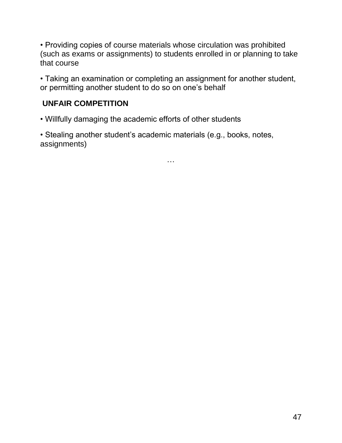• Providing copies of course materials whose circulation was prohibited (such as exams or assignments) to students enrolled in or planning to take that course

• Taking an examination or completing an assignment for another student, or permitting another student to do so on one's behalf

#### **UNFAIR COMPETITION**

- Willfully damaging the academic efforts of other students
- Stealing another student's academic materials (e.g., books, notes, assignments)

…